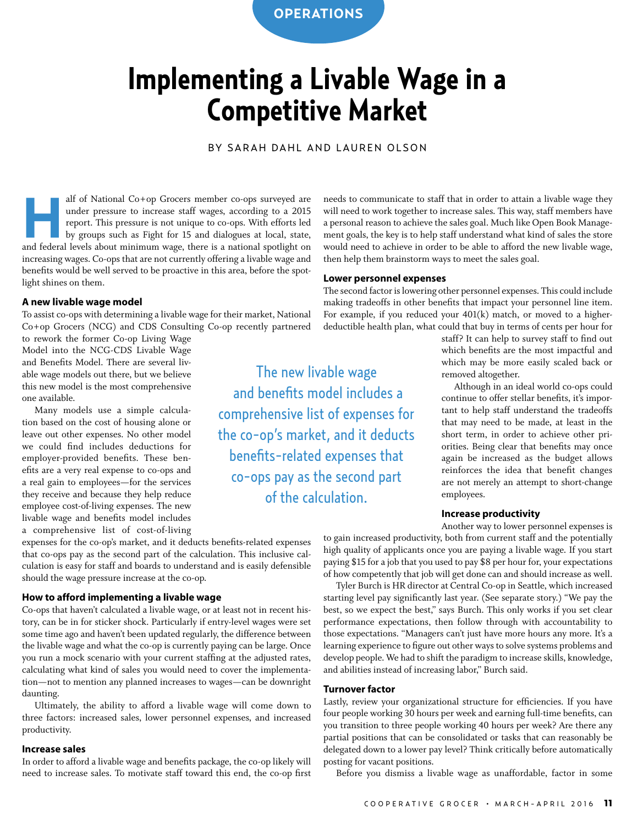**OPERATIONS**

### **Implementing a Livable Wage in a Competitive Market**

BY SARAH DAHL AND LAUREN OLSON

The new livable wage and benefits model includes a

comprehensive list of expenses for

the co-op's market, and it deducts benefits-related expenses that co-ops pay as the second part of the calculation.

alf of National Co+op Grocers member co-ops surveyed are under pressure to increase staff wages, according to a 2015 report. This pressure is not unique to co-ops. With efforts led by groups such as Fight for 15 and dialog under pressure to increase staff wages, according to a 2015 report. This pressure is not unique to co-ops. With efforts led by groups such as Fight for 15 and dialogues at local, state, and federal levels about minimum wage, there is a national spotlight on increasing wages. Co-ops that are not currently offering a livable wage and benefits would be well served to be proactive in this area, before the spotlight shines on them.

#### **A new livable wage model**

To assist co-ops with determining a livable wage for their market, National Co+op Grocers (NCG) and CDS Consulting Co-op recently partnered

to rework the former Co-op Living Wage Model into the NCG-CDS Livable Wage and Benefits Model. There are several livable wage models out there, but we believe this new model is the most comprehensive one available.

Many models use a simple calculation based on the cost of housing alone or leave out other expenses. No other model we could find includes deductions for employer-provided benefits. These benefits are a very real expense to co-ops and a real gain to employees—for the services they receive and because they help reduce employee cost-of-living expenses. The new livable wage and benefits model includes a comprehensive list of cost-of-living

expenses for the co-op's market, and it deducts benefits-related expenses that co-ops pay as the second part of the calculation. This inclusive calculation is easy for staff and boards to understand and is easily defensible should the wage pressure increase at the co-op.

#### **How to afford implementing a livable wage**

Co-ops that haven't calculated a livable wage, or at least not in recent history, can be in for sticker shock. Particularly if entry-level wages were set some time ago and haven't been updated regularly, the difference between the livable wage and what the co-op is currently paying can be large. Once you run a mock scenario with your current staffing at the adjusted rates, calculating what kind of sales you would need to cover the implementation—not to mention any planned increases to wages—can be downright daunting.

Ultimately, the ability to afford a livable wage will come down to three factors: increased sales, lower personnel expenses, and increased productivity.

#### **Increase sales**

In order to afford a livable wage and benefits package, the co-op likely will need to increase sales. To motivate staff toward this end, the co-op first needs to communicate to staff that in order to attain a livable wage they will need to work together to increase sales. This way, staff members have a personal reason to achieve the sales goal. Much like Open Book Management goals, the key is to help staff understand what kind of sales the store would need to achieve in order to be able to afford the new livable wage, then help them brainstorm ways to meet the sales goal.

#### **Lower personnel expenses**

The second factor is lowering other personnel expenses. This could include making tradeoffs in other benefits that impact your personnel line item. For example, if you reduced your 401(k) match, or moved to a higherdeductible health plan, what could that buy in terms of cents per hour for

> staff? It can help to survey staff to find out which benefits are the most impactful and which may be more easily scaled back or removed altogether.

> Although in an ideal world co-ops could continue to offer stellar benefits, it's important to help staff understand the tradeoffs that may need to be made, at least in the short term, in order to achieve other priorities. Being clear that benefits may once again be increased as the budget allows reinforces the idea that benefit changes are not merely an attempt to short-change employees.

#### **Increase productivity**

Another way to lower personnel expenses is to gain increased productivity, both from current staff and the potentially high quality of applicants once you are paying a livable wage. If you start paying \$15 for a job that you used to pay \$8 per hour for, your expectations of how competently that job will get done can and should increase as well.

Tyler Burch is HR director at Central Co-op in Seattle, which increased starting level pay significantly last year. (See separate story.) "We pay the best, so we expect the best," says Burch. This only works if you set clear performance expectations, then follow through with accountability to those expectations. "Managers can't just have more hours any more. It's a learning experience to figure out other ways to solve systems problems and develop people. We had to shift the paradigm to increase skills, knowledge, and abilities instead of increasing labor," Burch said.

#### **Turnover factor**

Lastly, review your organizational structure for efficiencies. If you have four people working 30 hours per week and earning full-time benefits, can you transition to three people working 40 hours per week? Are there any partial positions that can be consolidated or tasks that can reasonably be delegated down to a lower pay level? Think critically before automatically posting for vacant positions.

Before you dismiss a livable wage as unaffordable, factor in some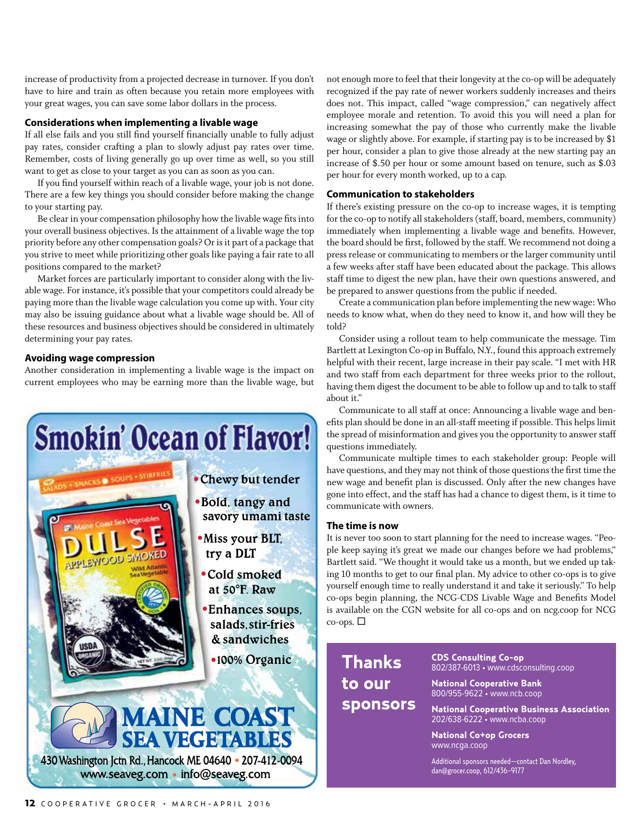increase of productivity from a projected decrease in turnover. If you don't have to hire and train as often because you retain more employees with your great wages, you can save some labor dollars in the process.

#### **Considerations when implementing a livable wage**

If all else fails and you still find yourself financially unable to fully adjust pay rates, consider crafting a plan to slowly adjust pay rates over time. Remember, costs of living generally go up over time as well, so you still want to get as close to your target as you can as soon as you can.

If you find yourself within reach of a livable wage, your job is not done. There are a few key things you should consider before making the change to your starting pay.

Be clear in your compensation philosophy how the livable wage fits into your overall business objectives. Is the attainment of a livable wage the top priority before any other compensation goals? Or is it part of a package that you strive to meet while prioritizing other goals like paying a fair rate to all positions compared to the market?

Market forces are particularly important to consider along with the livable wage. For instance, it's possible that your competitors could already be paying more than the livable wage calculation you come up with. Your city may also be issuing guidance about what a livable wage should be. All of these resources and business objectives should be considered in ultimately determining your pay rates.

#### **Avoiding wage compression**

Another consideration in implementing a livable wage is the impact on current employees who may be earning more than the livable wage, but



not enough more to feel that their longevity at the co-op will be adequately recognized if the pay rate of newer workers suddenly increases and theirs does not. This impact, called "wage compression," can negatively affect employee morale and retention. To avoid this you will need a plan for increasing somewhat the pay of those who currently make the livable wage or slightly above. For example, if starting pay is to be increased by \$1 per hour, consider a plan to give those already at the new starting pay an increase of \$.50 per hour or some amount based on tenure, such as \$.03 per hour for every month worked, up to a cap.

#### **Communication to stakeholders**

If there's existing pressure on the co-op to increase wages, it is tempting for the co-op to notify all stakeholders (staff, board, members, community) immediately when implementing a livable wage and benefits. However, the board should be first, followed by the staff. We recommend not doing a press release or communicating to members or the larger community until a few weeks after staff have been educated about the package. This allows staff time to digest the new plan, have their own questions answered, and be prepared to answer questions from the public if needed.

Create a communication plan before implementing the new wage: Who needs to know what, when do they need to know it, and how will they be told?

Consider using a rollout team to help communicate the message. Tim Bartlett at Lexington Co-op in Buffalo, N.Y., found this approach extremely helpful with their recent, large increase in their pay scale. "I met with HR and two staff from each department for three weeks prior to the rollout, having them digest the document to be able to follow up and to talk to staff about it."

Communicate to all staff at once: Announcing a livable wage and benefits plan should be done in an all-staff meeting if possible. This helps limit the spread of misinformation and gives you the opportunity to answer staff questions immediately.

Communicate multiple times to each stakeholder group: People will have questions, and they may not think of those questions the first time the new wage and benefit plan is discussed. Only after the new changes have gone into effect, and the staff has had a chance to digest them, is it time to communicate with owners.

#### **The time is now**

It is never too soon to start planning for the need to increase wages. "People keep saying it's great we made our changes before we had problems," Bartlett said. "We thought it would take us a month, but we ended up taking 10 months to get to our final plan. My advice to other co-ops is to give yourself enough time to really understand it and take it seriously." To help co-ops begin planning, the NCG-CDS Livable Wage and Benefits Model is available on the CGN website for all co-ops and on ncg.coop for NCG  $\cos$ -ops.  $\Box$ 

**Thanks to our sponsors**  **CDS Consulting Co-op** 802/387-6013 • www.cdsconsulting.coop **National Cooperative Bank**

800/955-9622 • www.ncb.coop **National Cooperative Business Association**

202/638-6222 • www.ncba.coop

**National Co+op Grocers** www.ncga.coop

Additional sponsors needed—contact Dan Nordley, dan@grocer.coop, 612/436-9177